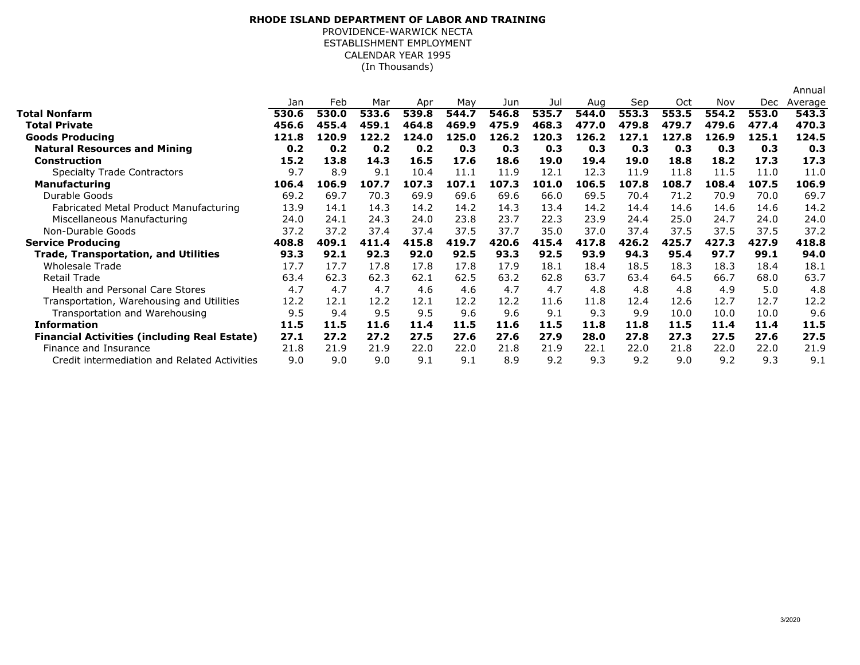## **RHODE ISLAND DEPARTMENT OF LABOR AND TRAINING**PROVIDENCE-WARWICK NECTA

ESTABLISHMENT EMPLOYMENT CALENDAR YEAR 1995(In Thousands)

|                                                     |       |       |       |       |       |       |       |       |       |       |       |       | Annual  |
|-----------------------------------------------------|-------|-------|-------|-------|-------|-------|-------|-------|-------|-------|-------|-------|---------|
|                                                     | Jan   | Feb   | Mar   | Apr   | May   | Jun   | Jul   | Aug   | Sep   | Oct   | Nov   | Dec   | Average |
| Total Nonfarm                                       | 530.6 | 530.0 | 533.6 | 539.8 | 544.7 | 546.8 | 535.7 | 544.0 | 553.3 | 553.5 | 554.2 | 553.0 | 543.3   |
| <b>Total Private</b>                                | 456.6 | 455.4 | 459.1 | 464.8 | 469.9 | 475.9 | 468.3 | 477.0 | 479.8 | 479.7 | 479.6 | 477.4 | 470.3   |
| <b>Goods Producing</b>                              | 121.8 | 120.9 | 122.2 | 124.0 | 125.0 | 126.2 | 120.3 | 126.2 | 127.1 | 127.8 | 126.9 | 125.1 | 124.5   |
| <b>Natural Resources and Mining</b>                 | 0.2   | 0.2   | 0.2   | 0.2   | 0.3   | 0.3   | 0.3   | 0.3   | 0.3   | 0.3   | 0.3   | 0.3   | 0.3     |
| <b>Construction</b>                                 | 15.2  | 13.8  | 14.3  | 16.5  | 17.6  | 18.6  | 19.0  | 19.4  | 19.0  | 18.8  | 18.2  | 17.3  | 17.3    |
| <b>Specialty Trade Contractors</b>                  | 9.7   | 8.9   | 9.1   | 10.4  | 11.1  | 11.9  | 12.1  | 12.3  | 11.9  | 11.8  | 11.5  | 11.0  | 11.0    |
| <b>Manufacturing</b>                                | 106.4 | 106.9 | 107.7 | 107.3 | 107.1 | 107.3 | 101.0 | 106.5 | 107.8 | 108.7 | 108.4 | 107.5 | 106.9   |
| Durable Goods                                       | 69.2  | 69.7  | 70.3  | 69.9  | 69.6  | 69.6  | 66.0  | 69.5  | 70.4  | 71.2  | 70.9  | 70.0  | 69.7    |
| Fabricated Metal Product Manufacturing              | 13.9  | 14.1  | 14.3  | 14.2  | 14.2  | 14.3  | 13.4  | 14.2  | 14.4  | 14.6  | 14.6  | 14.6  | 14.2    |
| Miscellaneous Manufacturing                         | 24.0  | 24.1  | 24.3  | 24.0  | 23.8  | 23.7  | 22.3  | 23.9  | 24.4  | 25.0  | 24.7  | 24.0  | 24.0    |
| Non-Durable Goods                                   | 37.2  | 37.2  | 37.4  | 37.4  | 37.5  | 37.7  | 35.0  | 37.0  | 37.4  | 37.5  | 37.5  | 37.5  | 37.2    |
| <b>Service Producing</b>                            | 408.8 | 409.1 | 411.4 | 415.8 | 419.7 | 420.6 | 415.4 | 417.8 | 426.2 | 425.7 | 427.3 | 427.9 | 418.8   |
| <b>Trade, Transportation, and Utilities</b>         | 93.3  | 92.1  | 92.3  | 92.0  | 92.5  | 93.3  | 92.5  | 93.9  | 94.3  | 95.4  | 97.7  | 99.1  | 94.0    |
| <b>Wholesale Trade</b>                              | 17.7  | 17.7  | 17.8  | 17.8  | 17.8  | 17.9  | 18.1  | 18.4  | 18.5  | 18.3  | 18.3  | 18.4  | 18.1    |
| <b>Retail Trade</b>                                 | 63.4  | 62.3  | 62.3  | 62.1  | 62.5  | 63.2  | 62.8  | 63.7  | 63.4  | 64.5  | 66.7  | 68.0  | 63.7    |
| <b>Health and Personal Care Stores</b>              | 4.7   | 4.7   | 4.7   | 4.6   | 4.6   | 4.7   | 4.7   | 4.8   | 4.8   | 4.8   | 4.9   | 5.0   | 4.8     |
| Transportation, Warehousing and Utilities           | 12.2  | 12.1  | 12.2  | 12.1  | 12.2  | 12.2  | 11.6  | 11.8  | 12.4  | 12.6  | 12.7  | 12.7  | 12.2    |
| Transportation and Warehousing                      | 9.5   | 9.4   | 9.5   | 9.5   | 9.6   | 9.6   | 9.1   | 9.3   | 9.9   | 10.0  | 10.0  | 10.0  | 9.6     |
| <b>Information</b>                                  | 11.5  | 11.5  | 11.6  | 11.4  | 11.5  | 11.6  | 11.5  | 11.8  | 11.8  | 11.5  | 11.4  | 11.4  | 11.5    |
| <b>Financial Activities (including Real Estate)</b> | 27.1  | 27.2  | 27.2  | 27.5  | 27.6  | 27.6  | 27.9  | 28.0  | 27.8  | 27.3  | 27.5  | 27.6  | 27.5    |
| Finance and Insurance                               | 21.8  | 21.9  | 21.9  | 22.0  | 22.0  | 21.8  | 21.9  | 22.1  | 22.0  | 21.8  | 22.0  | 22.0  | 21.9    |
| Credit intermediation and Related Activities        | 9.0   | 9.0   | 9.0   | 9.1   | 9.1   | 8.9   | 9.2   | 9.3   | 9.2   | 9.0   | 9.2   | 9.3   | 9.1     |